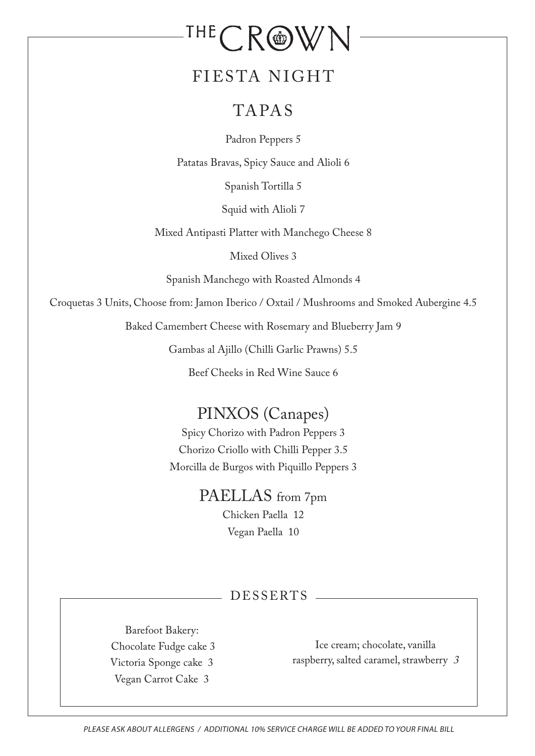# THE CROWN

## FIESTA NIGHT

## TAPAS

Padron Peppers 5

Patatas Bravas, Spicy Sauce and Alioli 6

Spanish Tortilla 5

Squid with Alioli 7

Mixed Antipasti Platter with Manchego Cheese 8

Mixed Olives 3

Spanish Manchego with Roasted Almonds 4

Croquetas 3 Units, Choose from: Jamon Iberico / Oxtail / Mushrooms and Smoked Aubergine 4.5

Baked Camembert Cheese with Rosemary and Blueberry Jam 9

Gambas al Ajillo (Chilli Garlic Prawns) 5.5

Beef Cheeks in Red Wine Sauce 6

## PINXOS (Canapes)

Spicy Chorizo with Padron Peppers 3 Chorizo Criollo with Chilli Pepper 3.5 Morcilla de Burgos with Piquillo Peppers 3

> PAELLAS from 7pm Chicken Paella 12 Vegan Paella 10

#### DESSERTS

Barefoot Bakery: Chocolate Fudge cake 3 Victoria Sponge cake 3 Vegan Carrot Cake 3

Ice cream; chocolate, vanilla raspberry, salted caramel, strawberry <sup>3</sup>